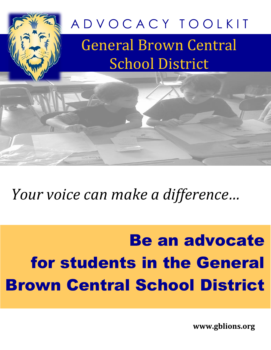

# *Your voice can make a difference…*

# Be an advocate for students in the General Brown Central School District

**www.gblions.org**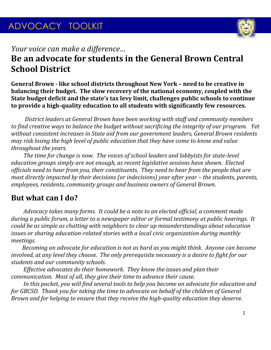

# *Your voice can make a difference…* **Be an advocate for students in the General Brown Central School District**

**General Brown - like school districts throughout New York – need to be creative in balancing their budget. The slow recovery of the national economy, coupled with the State budget deficit and the state's tax levy limit, challenges public schools to continue to provide a high-quality education to all students with significantly few resources.** 

 *District leaders at General Brown have been working with staff and community members to find creative ways to balance the budget without sacrificing the integrity of our program. Yet without consistent increases in State aid from our government leaders, General Brown residents may risk losing the high level of public education that they have come to know and value throughout the years.*

 *The time for change is now. The voices of school leaders and lobbyists for state-level education groups simply are not enough, as recent legislative sessions have shown. Elected officials need to hear from you, their constituents. They need to hear from the people that are most directly impacted by their decisions (or indecisions) year after year – the students, parents, employees, residents, community groups and business owners of General Brown.*

# **But what can I do?**

 *Advocacy takes many forms. It could be a note to an elected official, a comment made during a public forum, a letter to a newspaper editor or formal testimony at public hearings. It could be as simple as chatting with neighbors to clear up misunderstandings about education issues or sharing education-related stories with a local civic organization during monthly meetings.*

 *Becoming an advocate for education is not as hard as you might think. Anyone can become involved, at any level they choose. The only prerequisite necessary is a desire to fight for our students and our community schools.*

 *Effective advocates do their homework. They know the issues and plan their communication. Most of all, they give their time to advance their cause.*

 *In this packet, you will find several tools to help you become an advocate for education and for GBCSD. Thank you for taking the time to advocate on behalf of the children of General Brown and for helping to ensure that they receive the high-quality education they deserve.*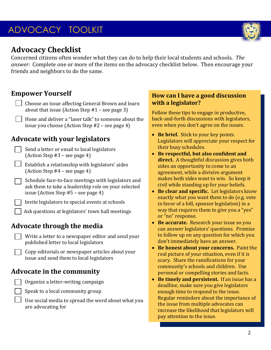

# **Advocacy Checklist**

Concerned citizens often wonder what they can do to help their local students and schools. *The answer:* Complete one or more of the items on the advocacy checklist below. Then encourage your friends and neighbors to do the same.

## **Empower Yourself**

- Choose an issue affecting General Brown and learn about that issue (Action Step #1 – see page 3)
	- Hone and deliver a "laser talk" to someone about the issue you choose (Action Step #2 – see page 4)

## **Advocate with your legislators**

- Send a letter or email to local legislators (Action Step #3 – see page 4)
- Establish a relationship with legislators' aides (Action Step #4 – see page 4)
- Schedule face-to-face meetings with legislators and ask them to take a leadership role on your selected issue (Action Step #5 – see page 4)
- Invite legislators to special events at schools
- Ask questions at legislators' town hall meetings

# **Advocate through the media**

- Write a letter to a newspaper editor and send your published letter to local legislators
	- Copy editorials or newspaper articles about your issue and send them to local legislators

## **Advocate in the community**

- Organize a letter-writing campaign
- Speak to a local community group
	- Use social media to spread the word about what you are advocating for

#### **How can I have a good discussion with a legislator?**

Follow these tips to engage in productive, back-and-forth discussions with legislators, even when you don't agree on the issues.

- **Be brief.** Stick to your key points. Legislators will appreciate your respect for their busy schedules.
- **Be respectful, but also confident and direct.** A thoughtful discussion gives both sides an opportunity to come to an agreement, while a divisive argument makes both sides want to win. So keep it civil while standing up for your beliefs.
- **Be clear and specific.** Let legislators know exactly what you want them to do (e.g. vote in favor of a bill, sponsor legislation) in a way that requires them to give you a "yes" or "no" response.
- **Be accurate.** Research your issue so you can answer legislators' questions. Promise to follow up on any question for which you don't immediately have an answer.
- **Be honest about your concerns.** Paint the real picture of your situation, even if it is scary. Share the ramifications for your community's schools and children. Use personal or compelling stories and facts.
- **Be timely and persistent.** If an issue has a deadline, make sure you give legislators enough time to respond to the issue. Regular reminders about the importance of the issue from multiple advocates can increase the likelihood that legislators will pay attention to the issue.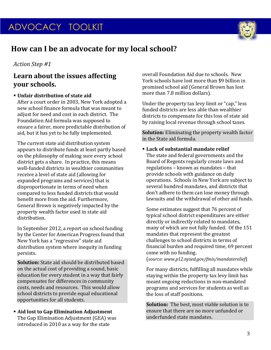

# **How can I be an advocate for my local school?**

#### *Action Step #1*

### **Learn about the issues affecting your schools.**

#### **Unfair distribution of state aid**

After a court order in 2003, New York adopted a new school finance formula that was meant to adjust for need and cost in each district. The Foundation Aid formula was supposed to ensure a fairer, more predictable distribution of aid, but it has yet to be fully implemented.

The current state aid distribution system appears to distribute funds at least partly based on the philosophy of making sure every school district gets a share. In practice, this means well-funded districts in wealthier communities receive a level of state aid (allowing for expanded programs and services) that is disproportionate in terms of need when compared to less funded districts that would benefit more from the aid. Furthermore, General Brown is negatively impacted by the property wealth factor used in state aid distribution.

In September 2012, a report on school funding by the Center for American Progress found that New York has a "regressive" state aid distribution system where inequity in funding persists.

**Solution:** State aid should be distributed based on the actual cost of providing a sound, basic education for every student in a way that fairly compensates for differences in community costs, needs and resources. This would allow school districts to provide equal educational opportunities for all students.

#### **Aid lost to Gap Elimination Adjustment** The Gap Elimination Adjustment (GEA) was introduced in 2010 as a way for the state

overall Foundation Aid due to schools. New York schools have lost more than \$9 billion in promised school aid (General Brown has lost more than 7.8 million dollars).

Under the property tax levy limit or "cap," less funded districts are less able than wealthier districts to compensate for this loss of state aid by raising local revenue through school taxes.

**Solution:** Eliminating the property wealth factor in the State aid formula.

#### **Lack of substantial mandate relief**

The state and federal governments and the Board of Regents regularly create laws and regulations – known as mandates – that provide schools with guidance on daily operations. Schools in New York are subject to several hundred mandates, and districts that don't adhere to them can lose money through lawsuits and the withdrawal of other aid funds.

Some estimates suggest that 76 percent of typical school district expenditures are either directly or indirectly related to mandates, many of which are not fully funded. Of the 151 mandates that represent the greatest challenges to school districts in terms of financial burden and required time, 69 percent come with no funding.

(*source: www.p12.nysed.gov/fmis/mandaterelief*)

For many districts, fulfilling all mandates while staying within the property tax levy limit has meant ongoing reductions in non-mandated programs and services for students as well as the loss of staff positions.

**Solution:** The best, most viable solution is to ensure that there are no more unfunded or underfunded state mandates.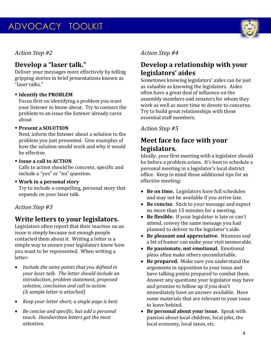#### *Action Step #2*

## **Develop a "laser talk."**

Deliver your messages more effectively by telling gripping stories in brief presentations known as "laser talks."

#### **Identify the PROBLEM**

Focus first on identifying a problem you want your listener to know about. Try to connect the problem to an issue the listener already cares about

#### **Present a SOLUTION**

Next, inform the listener about a solution to the problem you just presented. Give examples of how the solution would work and why it would be effective.

#### **Issue a call to ACTION**

Calls to action should be concrete, specific and include a "yes" or "no" question.

 **Work in a personal story** Try to include a compelling, personal story that expands on your laser talk.

#### *Action Step #3*

## **Write letters to your legislators.**

Legislators often report that their inaction on an issue is simply because not enough people contacted them about it. Writing a letter is a simple way to ensure your legislators know how you want to be represented. When writing a letter:

- *Include the same points that you defined in your laser talk. The letter should include an introduction, problem statement, proposed solution, conclusion and call to action. (A sample letter is attached)*
- *Keep your letter short; a single page is best.*
- *Be concise and specific, but add a personal touch. Handwritten letters get the most attention.*

#### *Action Step #4*

# **Develop a relationship with your legislators' aides**

Sometimes knowing legislators' aides can be just as valuable as knowing the legislators. Aides often have a great deal of influence on the assembly members and senators for whom they work as well as more time to devote to concerns. Try to build great relationships with these essential staff members.

#### *Action Step #5*

## **Meet face to face with your legislators.**

Ideally, your first meeting with a legislator should be before a problem arises. It's best to schedule a personal meeting in a legislator's local district office. Keep in mind these additional tips for an effective meeting:

- **Be on time.** Legislators have full schedules and may not be available if you arrive late.
- **Be concise.** Stick to your message and expect no more than 15 minutes for a meeting.
- **Be flexible.** If your legislator is late or can't attend, convey the same message you had planned to deliver to the legislator's aide.
- **Be pleasant and appreciative.** Niceness and a bit of humor can make your visit memorable.
- **Be passionate, not emotional.** Emotional pleas often make others uncomfortable.
- **Be prepared.** Make sure you understand the arguments in opposition to your issue and have talking points prepared to combat them. Answer any questions your legislator may have and promise to follow up if you don't immediately have an answer available. Have some materials that are relevant to your issue to leave behind.
- **Be personal about your issue.** Speak with passion about local children, local jobs, the local economy, local taxes, etc.